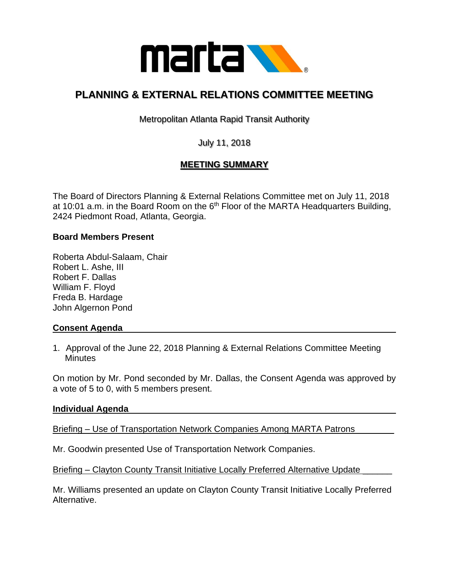

# **PLANNING & EXTERNAL RELATIONS COMMITTEE MEETING**

Metropolitan Atlanta Rapid Transit Authority

July 11, 2018

## **MEETING SUMMARY**

The Board of Directors Planning & External Relations Committee met on July 11, 2018 at 10:01 a.m. in the Board Room on the  $6<sup>th</sup>$  Floor of the MARTA Headquarters Building, 2424 Piedmont Road, Atlanta, Georgia.

### **Board Members Present**

Roberta Abdul-Salaam, Chair Robert L. Ashe, III Robert F. Dallas William F. Floyd Freda B. Hardage John Algernon Pond

### **Consent Agenda**

1. Approval of the June 22, 2018 Planning & External Relations Committee Meeting **Minutes** 

On motion by Mr. Pond seconded by Mr. Dallas, the Consent Agenda was approved by a vote of 5 to 0, with 5 members present.

### **Individual Agenda**

Briefing – Use of Transportation Network Companies Among MARTA Patrons

Mr. Goodwin presented Use of Transportation Network Companies.

Briefing – Clayton County Transit Initiative Locally Preferred Alternative Update

Mr. Williams presented an update on Clayton County Transit Initiative Locally Preferred Alternative.